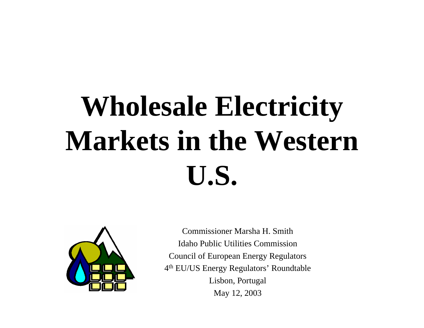# **Wholesale Electricity Markets in the Western U.S.**



Commissioner Marsha H. SmithIdaho Public Utilities CommissionCouncil of European Energy Regulators 4t<sup>h</sup> EU/US Energy Regulators' Roundtable Lisbon, Portugal May 12, 2003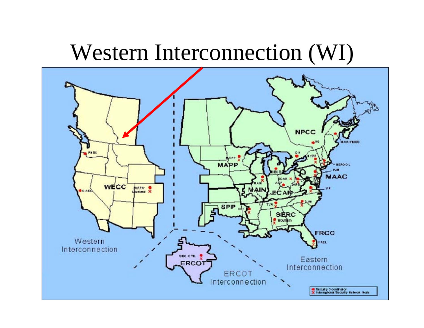### Western Interconnection (WI)

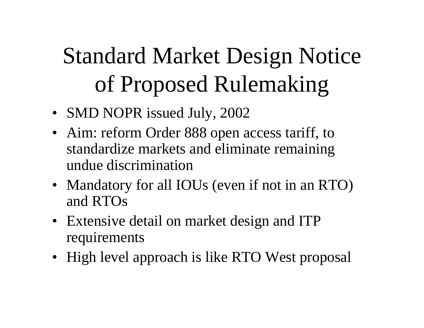# Standard Market Design Notice of Proposed Rulemaking

- SMD NOPR issued July, 2002
- Aim: reform Order 888 open access tariff, to standardize markets and eliminate remaining undue discrimination
- Mandatory for all IOUs (even if not in an RTO) and RTOs
- Extensive detail on market design and ITP requirements
- High level approach is like RTO West proposal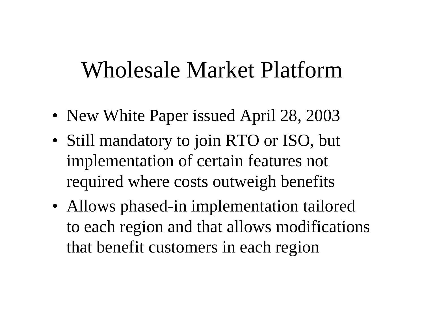### Wholesale Market Platform

- New White Paper issued April 28, 2003
- Still mandatory to join RTO or ISO, but implementation of certain features not required where costs outweigh benefits
- Allows phased-in implementation tailored to each region and that allows modifications that benefit customers in each region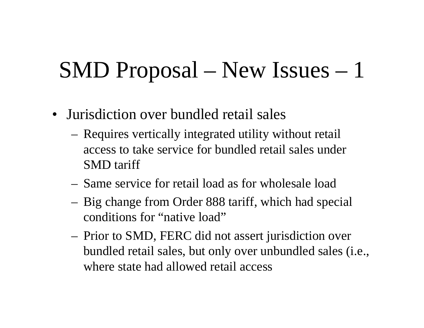## SMD Proposal – New Issues – 1

- Jurisdiction over bundled retail sales
	- Requires vertically integrated utility without retail access to take service for bundled retail sales under SMD tariff
	- Same service for retail load as for wholesale load
	- Big change from Order 888 tariff, which had special conditions for "native load"
	- Prior to SMD, FERC did not assert jurisdiction over bundled retail sales, but only over unbundled sales (i.e., where state had allowed retail access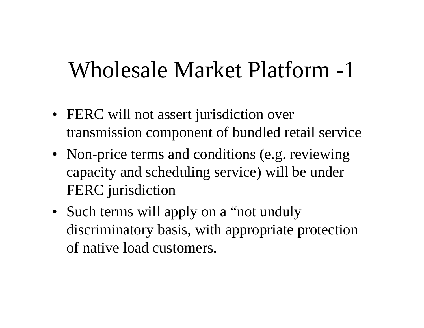### Wholesale Market Platform -1

- FERC will not assert jurisdiction over transmission component of bundled retail service
- Non-price terms and conditions (e.g. reviewing capacity and scheduling service) will be under FERC jurisdiction
- Such terms will apply on a "not unduly discriminatory basis, with appropriate protection of native load customers.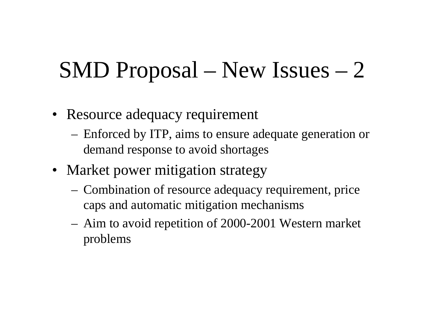## SMD Proposal – New Issues – 2

- Resource adequacy requirement
	- Enforced by ITP, aims to ensure adequate generation or demand response to avoid shortages
- Market power mitigation strategy
	- Combination of resource adequacy requirement, price caps and automatic mitigation mechanisms
	- Aim to avoid repetition of 2000-2001 Western market problems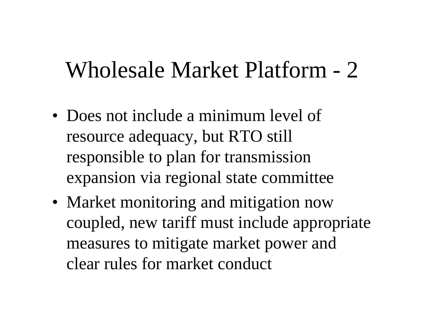### Wholesale Market Platform - 2

- Does not include a minimum level of resource adequacy, but RTO still responsible to plan for transmission expansion via regional state committee
- Market monitoring and mitigation now coupled, new tariff must include appropriate measures to mitigate market power and clear rules for market conduct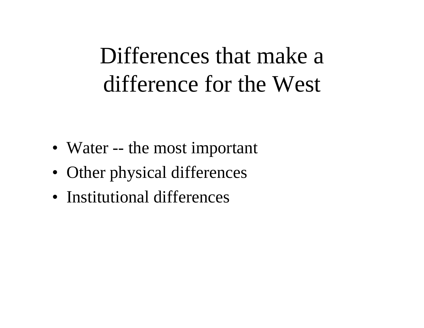## Differences that make a difference for the West

- Water -- the most important
- Other physical differences
- Institutional differences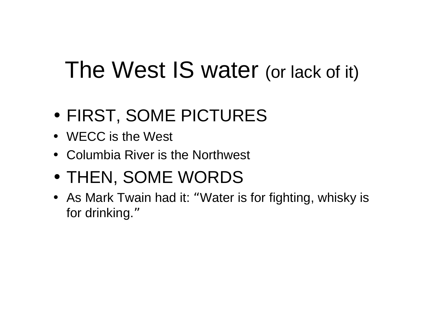## The West IS water (or lack of it)

- •FIRST, SOME PICTURES
- WECC is the West
- Columbia River is the Northwest
- •THEN, SOME WORDS
- As Mark Twain had it: "Water is for fighting, whisky is for drinking. "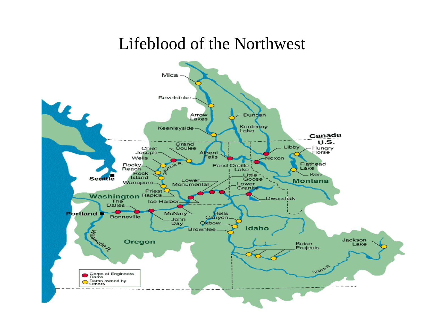#### Lifeblood of the Northwest

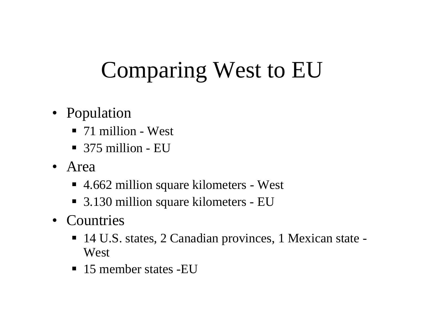## Comparing West to EU

- Population
	- 71 million West
	- 375 million EU
- Area
	- 4.662 million square kilometers West
	- 3.130 million square kilometers EU
- Countries
	- 14 U.S. states, 2 Canadian provinces, 1 Mexican state -West
	- 15 member states -EU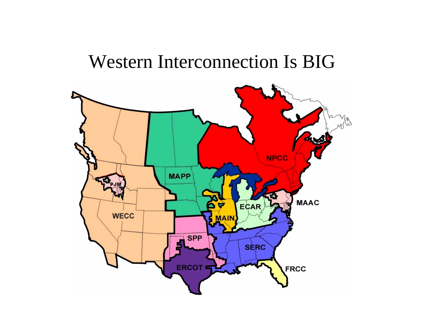### Western Interconnection Is BIG

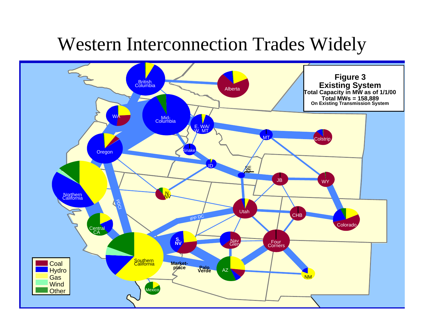### Western Interconnection Trades Widely

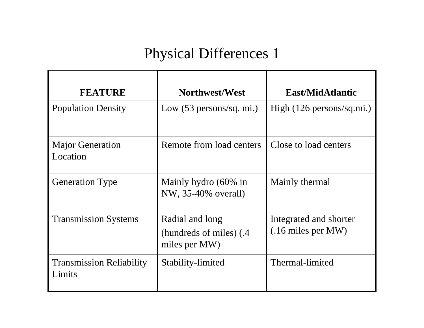#### Physical Differences 1

| <b>FEATURE</b>                            | Northwest/West                                               | East/MidAtlantic                                       |
|-------------------------------------------|--------------------------------------------------------------|--------------------------------------------------------|
| <b>Population Density</b>                 | Low $(53 \text{ persons/sq. mi.})$                           | High $(126 \text{ persons/sq} \cdot \text{mi.})$       |
| <b>Major Generation</b><br>Location       | Remote from load centers                                     | Close to load centers                                  |
| <b>Generation Type</b>                    | Mainly hydro (60% in<br>NW, 35-40% overall)                  | Mainly thermal                                         |
| <b>Transmission Systems</b>               | Radial and long<br>(hundreds of miles) (.4)<br>miles per MW) | Integrated and shorter<br>$(.16 \text{ miles per MW})$ |
| <b>Transmission Reliability</b><br>Limits | Stability-limited                                            | Thermal-limited                                        |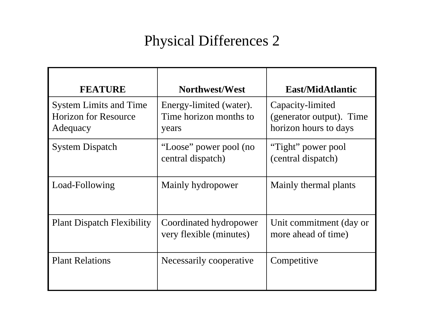#### Physical Differences 2

| <b>FEATURE</b>                                                           | Northwest/West                                             | <b>East/MidAtlantic</b>                                               |
|--------------------------------------------------------------------------|------------------------------------------------------------|-----------------------------------------------------------------------|
| <b>System Limits and Time</b><br><b>Horizon for Resource</b><br>Adequacy | Energy-limited (water).<br>Time horizon months to<br>years | Capacity-limited<br>(generator output). Time<br>horizon hours to days |
| <b>System Dispatch</b>                                                   | "Loose" power pool (no<br>central dispatch)                | "Tight" power pool<br>(central dispatch)                              |
| Load-Following                                                           | Mainly hydropower                                          | Mainly thermal plants                                                 |
| <b>Plant Dispatch Flexibility</b>                                        | Coordinated hydropower<br>very flexible (minutes)          | Unit commitment (day or<br>more ahead of time)                        |
| <b>Plant Relations</b>                                                   | Necessarily cooperative                                    | Competitive                                                           |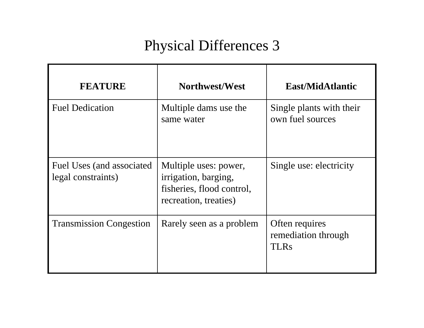#### Physical Differences 3

| <b>FEATURE</b>                                  | Northwest/West                                                                                      | East/MidAtlantic                                     |
|-------------------------------------------------|-----------------------------------------------------------------------------------------------------|------------------------------------------------------|
| <b>Fuel Dedication</b>                          | Multiple dams use the<br>same water                                                                 | Single plants with their<br>own fuel sources         |
| Fuel Uses (and associated<br>legal constraints) | Multiple uses: power,<br>irrigation, barging,<br>fisheries, flood control,<br>recreation, treaties) | Single use: electricity                              |
| <b>Transmission Congestion</b>                  | Rarely seen as a problem                                                                            | Often requires<br>remediation through<br><b>TLRs</b> |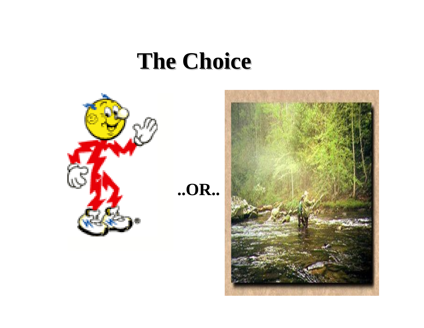### **The Choice The Choice**



**..OR..**

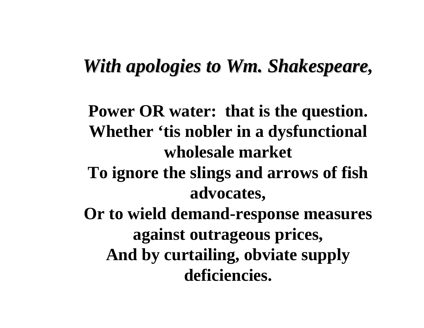### *With apologies to Wm. Shakespeare, With apologies to Wm. Shakespeare*

**Power OR water: that is the question. Whether 'tis nobler in a dysfunctional wholesale market To ignore the slings and arrows of fish advocates, Or to wield demand-response measures against outrageous prices, And by curtailing, obviate supply deficiencies.**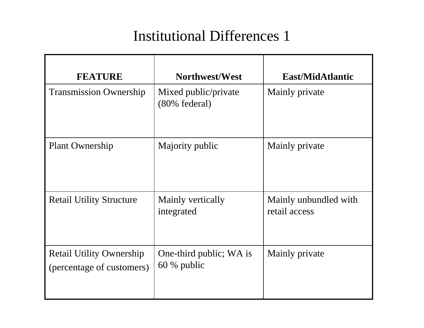#### Institutional Differences 1

| <b>FEATURE</b>                                               | Northwest/West                           | <b>East/MidAtlantic</b>                |
|--------------------------------------------------------------|------------------------------------------|----------------------------------------|
| <b>Transmission Ownership</b>                                | Mixed public/private<br>(80% federal)    | Mainly private                         |
| <b>Plant Ownership</b>                                       | Majority public                          | Mainly private                         |
| <b>Retail Utility Structure</b>                              | Mainly vertically<br>integrated          | Mainly unbundled with<br>retail access |
| <b>Retail Utility Ownership</b><br>(percentage of customers) | One-third public; WA is<br>$60\%$ public | Mainly private                         |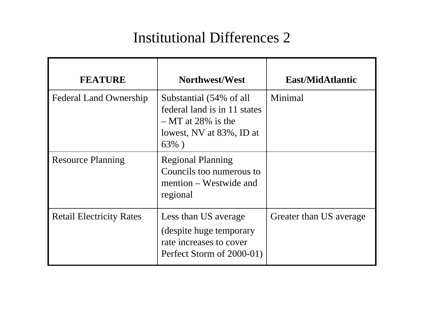#### Institutional Differences 2

| <b>FEATURE</b>                  | Northwest/West                                                                                                         | East/MidAtlantic        |
|---------------------------------|------------------------------------------------------------------------------------------------------------------------|-------------------------|
| <b>Federal Land Ownership</b>   | Substantial (54% of all<br>federal land is in 11 states<br>$-MT$ at 28% is the<br>lowest, NV at 83%, ID at<br>$63\%$ ) | Minimal                 |
| <b>Resource Planning</b>        | <b>Regional Planning</b><br>Councils too numerous to<br>mention – Westwide and<br>regional                             |                         |
| <b>Retail Electricity Rates</b> | Less than US average<br>(despite huge temporary<br>rate increases to cover<br>Perfect Storm of 2000-01)                | Greater than US average |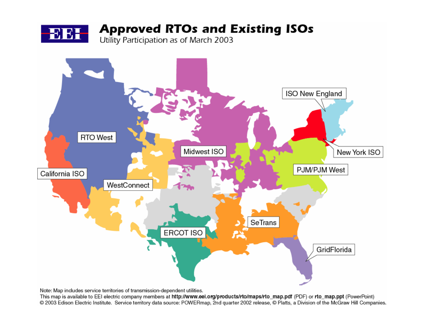



Note: Map includes service territories of transmission-dependent utilities.

This map is available to EEI electric company members at http://www.eei.org/products/rto/maps/rto\_map.pdf (PDF) or rto\_map.ppt (PowerPoint) © 2003 Edison Electric Institute. Service territory data source: POWERmap, 2nd quarter 2002 release, © Platts, a Division of the McGraw Hill Companies.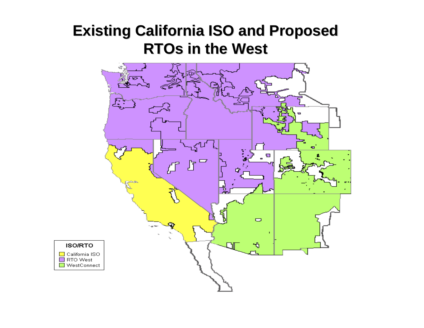#### **Existing California ISO and Proposed Existing California ISO and Proposed RTOs in the West RTOs in the West**

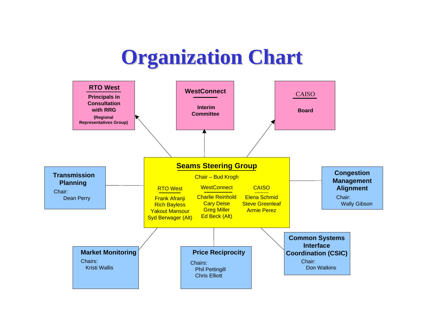### **Organization Chart Organization Chart**

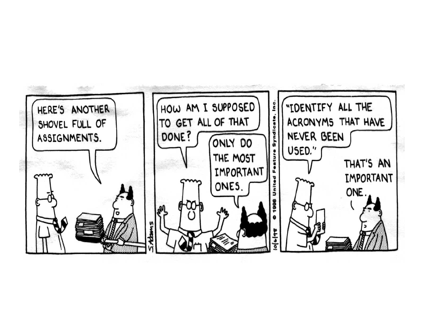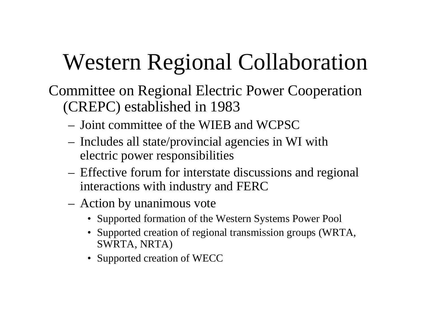## Western Regional Collaboration

Committee on Regional Electric Power Cooperation (CREPC) established in 1983

- Joint committee of the WIEB and WCPSC
- Includes all state/provincial agencies in WI with electric power responsibilities
- Effective forum for interstate discussions and regional interactions with industry and FERC
- Action by unanimous vote
	- Supported formation of the Western Systems Power Pool
	- Supported creation of regional transmission groups (WRTA, SWRTA, NRTA)
	- Supported creation of WECC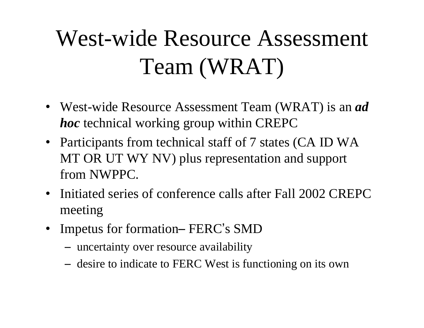# West-wide Resource Assessment Team (WRAT)

- West-wide Resource Assessment Team (WRAT) is an *ad hoc* technical working group within CREPC
- Participants from technical staff of 7 states (CA ID WA MT OR UT WY NV) plus representation and support from NWPPC.
- $\bullet$  Initiated series of conference calls after Fall 2002 CREPC meeting
- •• Impetus for formation – FERC's SMD
	- –uncertainty over resource availability
	- –- desire to indicate to FERC West is functioning on its own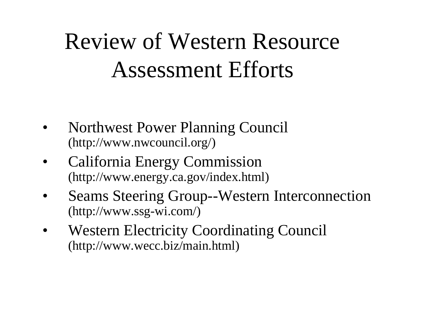## Review of Western Resource Assessment Efforts

- • Northwest Power Planning Council (http://www.nwcouncil.org/)
- • California Energy Commission (http://www.energy.ca.gov/index.html)
- $\bullet$  Seams Steering Group--Western Interconnection (http://www.ssg-wi.com/)
- $\bullet$  Western Electricity Coordinating Council (http://www.wecc.biz/main.html)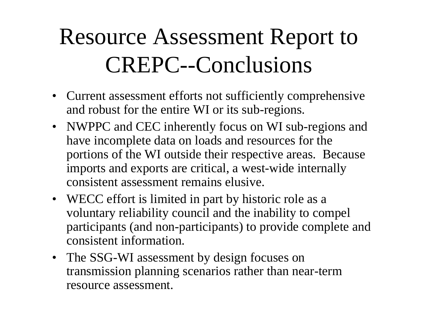# Resource Assessment Report to CREPC--Conclusions

- Current assessment efforts not sufficiently comprehensive and robust for the entire WI or its sub-regions.
- NWPPC and CEC inherently focus on WI sub-regions and have incomplete data on loads and resources for the portions of the WI outside their respective areas. Because imports and exports are critical, a west-wide internally consistent assessment remains elusive.
- WECC effort is limited in part by historic role as a voluntary reliability council and the inability to compel participants (and non-participants) to provide complete and consistent information.
- The SSG-WI assessment by design focuses on transmission planning scenarios rather than near-term resource assessment.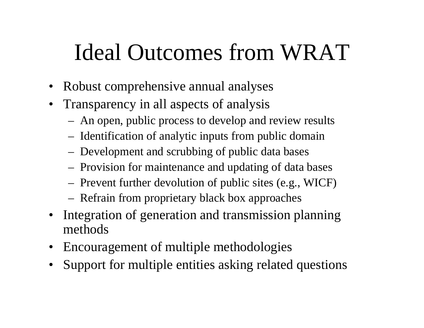## Ideal Outcomes from WRAT

- Robust comprehensive annual analyses
- Transparency in all aspects of analysis
	- An open, public process to develop and review results
	- Identification of analytic inputs from public domain
	- Development and scrubbing of public data bases
	- Provision for maintenance and updating of data bases
	- Prevent further devolution of public sites (e.g., WICF)
	- Refrain from proprietary black box approaches
- Integration of generation and transmission planning methods
- Encouragement of multiple methodologies
- Support for multiple entities asking related questions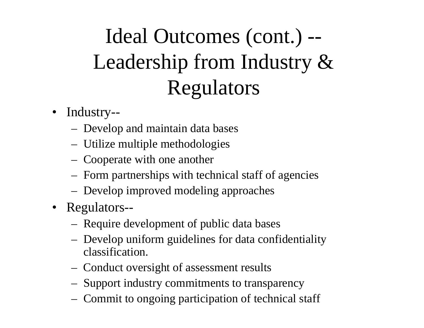## Ideal Outcomes (cont.) -- Leadership from Industry & Regulators

- Industry--
	- Develop and maintain data bases
	- Utilize multiple methodologies
	- Cooperate with one another
	- Form partnerships with technical staff of agencies
	- Develop improved modeling approaches
- Regulators--
	- Require development of public data bases
	- Develop uniform guidelines for data confidentiality classification.
	- Conduct oversight of assessment results
	- Support industry commitments to transparency
	- Commit to ongoing participation of technical staff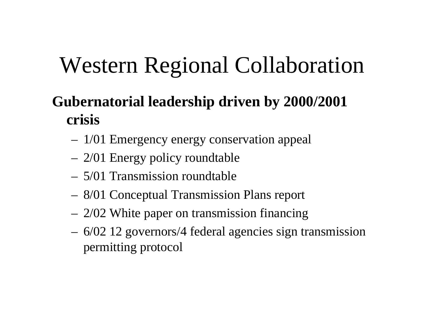## Western Regional Collaboration

### **Gubernatorial leadership driven by 2000/2001 crisis**

- 1/01 Emergency energy conservation appeal
- 2/01 Energy policy roundtable
- 5/01 Transmission roundtable
- 8/01 Conceptual Transmission Plans report
- 2/02 White paper on transmission financing
- 6/02 12 governors/4 federal agencies sign transmission permitting protocol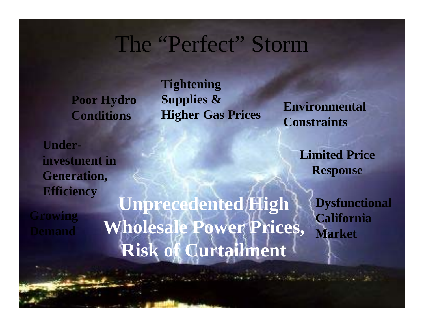### The "Perfect" Storm

**Poor Hydro Conditions**

**Tightening Supplies & Higher Gas Prices Environmental Constraints**

**Underinvestment in Generation, Efficiency**

**Growing** 

**Unprecedented High Wholesale Power Prices, Risk of Curtailment**

**Limited Price Response**

> **Dysfunctional California Market**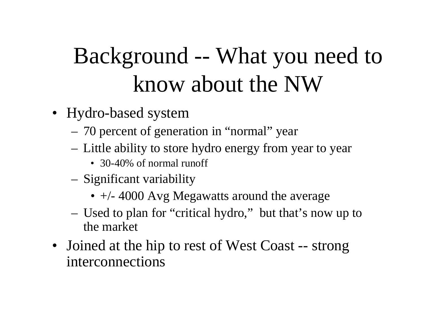## Background -- What you need to know about the NW

- Hydro-based system
	- 70 percent of generation in "normal" year
	- Little ability to store hydro energy from year to year
		- 30-40% of normal runoff
	- Significant variability
		- $\bullet$  +/- 4000 Avg Megawatts around the average
	- Used to plan for "critical hydro," but that's now up to the market
- Joined at the hip to rest of West Coast -- strong interconnections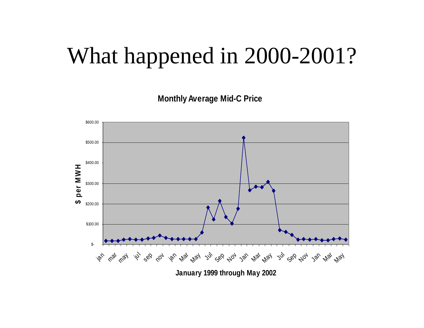### What happened in 2000-2001?

**Monthly Average Mid-C Price**

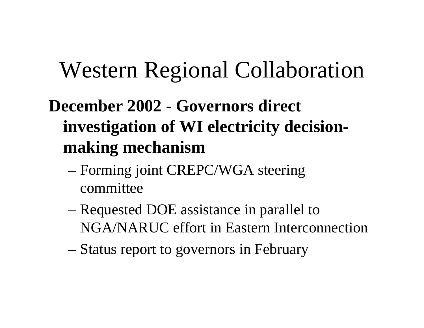### Western Regional Collaboration

### **December 2002**- **Governors direct investigation of WI electricity decisionmaking mechanism**

- Forming joint CREPC/WGA steering committee
- Requested DOE assistance in parallel to NGA/NARUC effort in Eastern Interconnection
- Status report to governors in February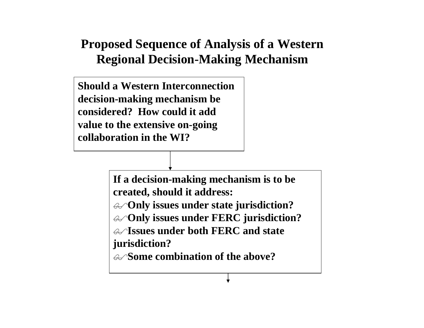#### **Proposed Sequence of Analysis of a Western Regional Decision-Making Mechanism**

**Should a Western Interconnection decision-making mechanism be considered? How could it add value to the extensive on-going collaboration in the WI?**

> **If a decision-making mechanism is to be created, should it address: Only issues under state jurisdiction? Only issues under FERC jurisdiction? Issues under both FERC and state jurisdiction? Some combination of the above?**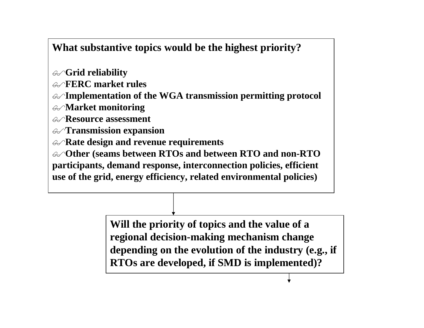#### **What substantive topics would be the highest priority?**

- **Grid reliability**
- **FERC market rules**
- **Implementation of the WGA transmission permitting protocol**
- **Market monitoring**
- **Resource assessment**
- **Transmission expansion**
- **Rate design and revenue requirements**
- **Other (seams between RTOs and between RTO and non-RTO participants, demand response, interconnection policies, efficient use of the grid, energy efficiency, related environmental policies)**

**Will the priority of topics and the value of a regional decision-making mechanism change depending on the evolution of the industry (e.g., if RTOs are developed, if SMD is implemented)?**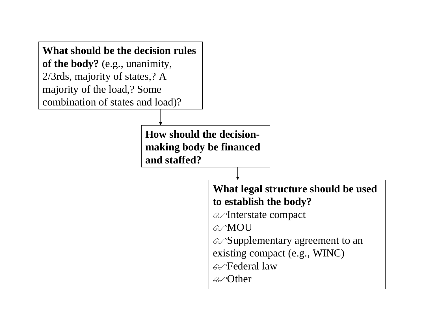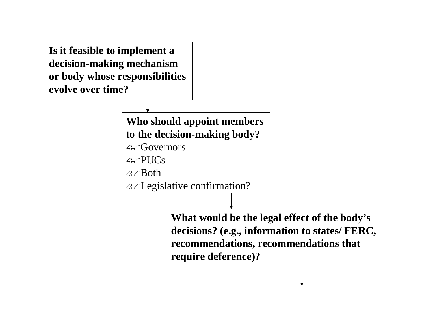**Is it feasible to implement a decision-making mechanism or body whose responsibilities evolve over time?**

#### **Who should appoint members to the decision-making body?**

Governors

 $\mathcal{A}\!\!-\!\!PUCs$ 

 $\mathcal{A}$  $\mathcal{B}$ oth

Legislative confirmation?

**What would be the legal effect of the body's decisions? (e.g., information to states/ FERC, recommendations, recommendations that require deference)?**